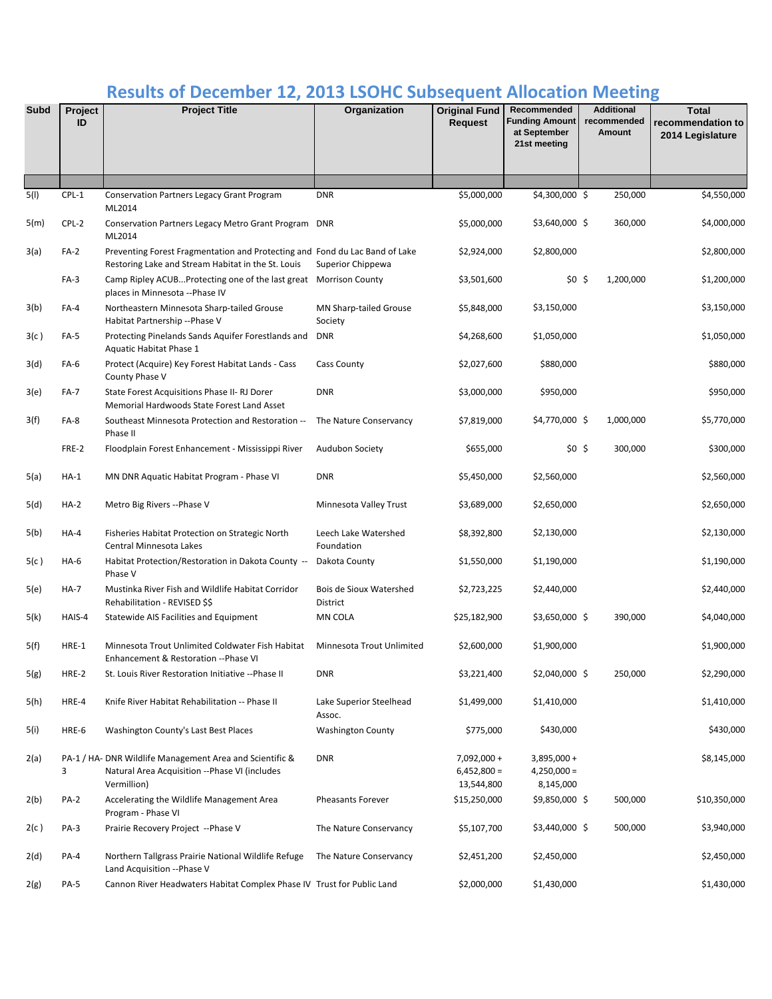## **Results of December 12, 2013 LSOHC Subsequent Allocation Meeting**

| <b>Subd</b> | Project<br>ID | <b>Project Title</b>                                                                                                              | Organization                        | <b>Original Fund</b><br><b>Request</b>      | Recommended<br><b>Funding Amount</b><br>at September<br>21st meeting | <b>Additional</b><br>recommended<br>Amount | <b>Total</b><br>recommendation to<br>2014 Legislature |
|-------------|---------------|-----------------------------------------------------------------------------------------------------------------------------------|-------------------------------------|---------------------------------------------|----------------------------------------------------------------------|--------------------------------------------|-------------------------------------------------------|
|             |               |                                                                                                                                   |                                     |                                             |                                                                      |                                            |                                                       |
| 5(1)        | CPL-1         | <b>Conservation Partners Legacy Grant Program</b><br>ML2014                                                                       | <b>DNR</b>                          | \$5,000,000                                 | $$4,300,000$ \$                                                      | 250,000                                    | \$4,550,000                                           |
| 5(m)        | CPL-2         | Conservation Partners Legacy Metro Grant Program DNR<br>ML2014                                                                    |                                     | \$5,000,000                                 | $$3,640,000$ \$                                                      | 360,000                                    | \$4,000,000                                           |
| 3(a)        | $FA-2$        | Preventing Forest Fragmentation and Protecting and Fond du Lac Band of Lake<br>Restoring Lake and Stream Habitat in the St. Louis | Superior Chippewa                   | \$2,924,000                                 | \$2,800,000                                                          |                                            | \$2,800,000                                           |
|             | $FA-3$        | Camp Ripley ACUBProtecting one of the last great Morrison County<br>places in Minnesota --Phase IV                                |                                     | \$3,501,600                                 | \$0\$                                                                | 1,200,000                                  | \$1,200,000                                           |
| 3(b)        | FA-4          | Northeastern Minnesota Sharp-tailed Grouse<br>Habitat Partnership --Phase V                                                       | MN Sharp-tailed Grouse<br>Society   | \$5,848,000                                 | \$3,150,000                                                          |                                            | \$3,150,000                                           |
| 3(c)        | FA-5          | Protecting Pinelands Sands Aquifer Forestlands and<br>Aquatic Habitat Phase 1                                                     | <b>DNR</b>                          | \$4,268,600                                 | \$1,050,000                                                          |                                            | \$1,050,000                                           |
| 3(d)        | FA-6          | Protect (Acquire) Key Forest Habitat Lands - Cass<br>County Phase V                                                               | Cass County                         | \$2,027,600                                 | \$880,000                                                            |                                            | \$880,000                                             |
| 3(e)        | <b>FA-7</b>   | State Forest Acquisitions Phase II- RJ Dorer<br>Memorial Hardwoods State Forest Land Asset                                        | <b>DNR</b>                          | \$3,000,000                                 | \$950,000                                                            |                                            | \$950,000                                             |
| 3(f)        | FA-8          | Southeast Minnesota Protection and Restoration --<br>Phase II                                                                     | The Nature Conservancy              | \$7,819,000                                 | \$4,770,000\$                                                        | 1,000,000                                  | \$5,770,000                                           |
|             | FRE-2         | Floodplain Forest Enhancement - Mississippi River                                                                                 | <b>Audubon Society</b>              | \$655,000                                   | \$0\$                                                                | 300,000                                    | \$300,000                                             |
| 5(a)        | $HA-1$        | MN DNR Aquatic Habitat Program - Phase VI                                                                                         | <b>DNR</b>                          | \$5,450,000                                 | \$2,560,000                                                          |                                            | \$2,560,000                                           |
| 5(d)        | $HA-2$        | Metro Big Rivers -- Phase V                                                                                                       | Minnesota Valley Trust              | \$3,689,000                                 | \$2,650,000                                                          |                                            | \$2,650,000                                           |
| 5(b)        | $HA-4$        | Fisheries Habitat Protection on Strategic North<br>Central Minnesota Lakes                                                        | Leech Lake Watershed<br>Foundation  | \$8,392,800                                 | \$2,130,000                                                          |                                            | \$2,130,000                                           |
| 5(c)        | $HA-6$        | Habitat Protection/Restoration in Dakota County --<br>Phase V                                                                     | Dakota County                       | \$1,550,000                                 | \$1,190,000                                                          |                                            | \$1,190,000                                           |
| 5(e)        | HA-7          | Mustinka River Fish and Wildlife Habitat Corridor<br>Rehabilitation - REVISED \$\$                                                | Bois de Sioux Watershed<br>District | \$2,723,225                                 | \$2,440,000                                                          |                                            | \$2,440,000                                           |
| 5(k)        | HAIS-4        | Statewide AIS Facilities and Equipment                                                                                            | MN COLA                             | \$25,182,900                                | \$3,650,000 \$                                                       | 390,000                                    | \$4,040,000                                           |
| 5(f)        | HRE-1         | Minnesota Trout Unlimited Coldwater Fish Habitat<br>Enhancement & Restoration --Phase VI                                          | <b>Minnesota Trout Unlimited</b>    | \$2,600,000                                 | \$1,900,000                                                          |                                            | \$1,900,000                                           |
| 5(g)        | HRE-2         | St. Louis River Restoration Initiative -- Phase II                                                                                | <b>DNR</b>                          | \$3,221,400                                 | $$2,040,000$ \$                                                      | 250,000                                    | \$2,290,000                                           |
| 5(h)        | HRE-4         | Knife River Habitat Rehabilitation -- Phase II                                                                                    | Lake Superior Steelhead<br>Assoc.   | \$1,499,000                                 | \$1,410,000                                                          |                                            | \$1,410,000                                           |
| 5(i)        | HRE-6         | Washington County's Last Best Places                                                                                              | <b>Washington County</b>            | \$775,000                                   | \$430,000                                                            |                                            | \$430,000                                             |
| 2(a)        | 3             | PA-1 / HA- DNR Wildlife Management Area and Scientific &<br>Natural Area Acquisition -- Phase VI (includes<br>Vermillion)         | <b>DNR</b>                          | $7,092,000+$<br>$6,452,800 =$<br>13,544,800 | $3,895,000 +$<br>$4,250,000 =$<br>8,145,000                          |                                            | \$8,145,000                                           |
| 2(b)        | <b>PA-2</b>   | Accelerating the Wildlife Management Area<br>Program - Phase VI                                                                   | <b>Pheasants Forever</b>            | \$15,250,000                                | $$9,850,000$ \$                                                      | 500,000                                    | \$10,350,000                                          |
| 2(c)        | PA-3          | Prairie Recovery Project -- Phase V                                                                                               | The Nature Conservancy              | \$5,107,700                                 | $$3,440,000$ \$                                                      | 500,000                                    | \$3,940,000                                           |
| 2(d)        | PA-4          | Northern Tallgrass Prairie National Wildlife Refuge<br>Land Acquisition -- Phase V                                                | The Nature Conservancy              | \$2,451,200                                 | \$2,450,000                                                          |                                            | \$2,450,000                                           |
| 2(g)        | <b>PA-5</b>   | Cannon River Headwaters Habitat Complex Phase IV Trust for Public Land                                                            |                                     | \$2,000,000                                 | \$1,430,000                                                          |                                            | \$1,430,000                                           |